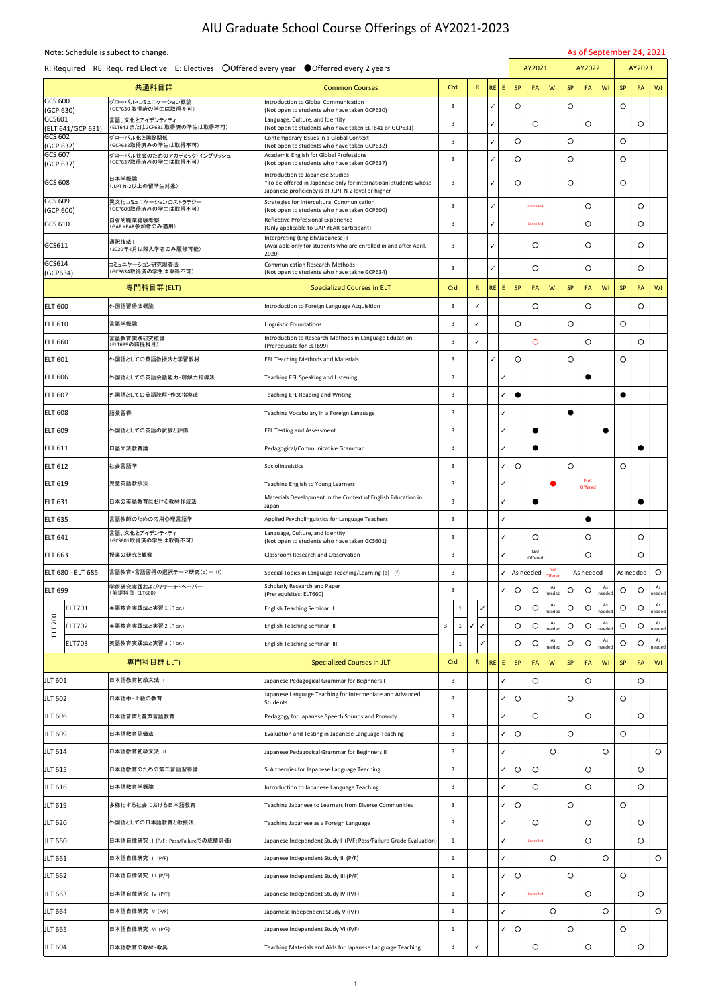## AIU Graduate School Course Offerings of AY2021-2023

Note: Schedule is subect to change. As of September 24, 2021

|                             | R: Required RE: Required Elective E: Electives ○ Offered every year ● Offerred every 2 years |                                                                                                                                                                    |              |  |              |           |    | AY2021    |                      |               |           | AY2022                       |              |           | AY2023    |                 |
|-----------------------------|----------------------------------------------------------------------------------------------|--------------------------------------------------------------------------------------------------------------------------------------------------------------------|--------------|--|--------------|-----------|----|-----------|----------------------|---------------|-----------|------------------------------|--------------|-----------|-----------|-----------------|
|                             | 共通科目群                                                                                        | <b>Common Courses</b>                                                                                                                                              | Crd          |  | $\mathsf{R}$ | RE        | E. | <b>SP</b> | <b>FA</b>            | WI            | <b>SP</b> | <b>FA</b>                    | WI           | <b>SP</b> | <b>FA</b> | $\mathsf{I}$ WI |
| GCS 600<br>(GCP 630)        | グローバル・コミュニケーション概論<br>(GCP630 取得済の学生は取得不可)                                                    | Introduction to Global Communication<br>(Not open to students who have taken GCP630)                                                                               | 3            |  |              | ✓         |    | $\circ$   |                      |               | $\circ$   |                              |              | O         |           |                 |
| GCS601<br>(ELT 641/GCP 631) | 言語、文化とアイデンティティ<br>(ELT641 またはGCP631 取得済の学生は取得不可)                                             | Language, Culture, and Identity<br>(Not open to students who have taken ELT641 or GCP631)                                                                          | 3            |  |              | ✓         |    |           | $\circ$              |               |           | $\circ$                      |              |           | O         |                 |
| GCS 602<br>(GCP 632)        | グローバル化と国際関係<br>(GCP632取得済みの学生は取得不可)                                                          | Contemporary Issues in a Global Context<br>(Not open to students who have taken GCP632)                                                                            | 3            |  |              | ✓         |    | $\circ$   |                      |               | $\circ$   |                              |              | O         |           |                 |
| GCS 607<br>(GCP 637)        | グローバル社会のためのアカデミック・イングリッシュ<br>(GCP637取得済みの学生は取得不可)                                            | <b>Academic English for Global Professions</b><br>(Not open to students who have taken GCP637)                                                                     | 3            |  |              | ✓         |    | $\circ$   |                      |               | $\circ$   |                              |              | O         |           |                 |
| GCS 608                     | 日本学概論<br>(JLPT N-2以上の留学生対象)                                                                  | <b>Introduction to Japanese Studies</b><br>*To be offered in Japanese only for internatioanl students whose<br>Japanese proficiency is at JLPT N-2 level or higher | 3            |  |              | ✓         |    | $\circ$   |                      |               | O         |                              |              | O         |           |                 |
| GCS 609                     | 異文化コミュニケーションのストラテジー<br>(GCP600取得済みの学生は取得不可)                                                  | Strategies for Intercultural Communication                                                                                                                         | 3            |  |              | ✓         |    |           | Cancelled            |               |           | O                            |              |           | O         |                 |
| (GCP 600)<br>GCS 610        | 自省的職業経験考察<br>(GAP YEAR参加者のみ適用)                                                               | (Not open to students who have taken GCP600)<br>Reflective Professional Experience                                                                                 | 3            |  |              | ✓         |    |           | Cancelled            |               |           | O                            |              |           | O         |                 |
| GCS611                      | 通訳技法1                                                                                        | (Only applicable to GAP YEAR participant)<br>Interpreting (English/Japanese) I<br>(Available only for students who are enrolled in and after April,                | 3            |  |              | ✓         |    |           | O                    |               |           | O                            |              |           | O         |                 |
| GCS614                      | (2020年4月以降入学者のみ履修可能)<br>コミュニケーション研究調査法                                                       | 2020)<br><b>Communication Research Methods</b>                                                                                                                     | 3            |  |              | ✓         |    |           | O                    |               |           | $\circ$                      |              |           | O         |                 |
| (GCP634)                    | (GCP634取得済の学生は取得不可)                                                                          | (Not open to students who have takne GCP634)                                                                                                                       |              |  |              |           |    |           |                      |               |           |                              |              |           |           |                 |
|                             | 専門科目群 (ELT)                                                                                  | <b>Specialized Courses in ELT</b>                                                                                                                                  | Crd          |  | $\mathsf{R}$ | <b>RE</b> | E. | <b>SP</b> | FA                   | WI            | <b>SP</b> | FA                           | WI           | <b>SP</b> | <b>FA</b> | WI              |
| <b>ELT 600</b>              | 外国語習得法概論                                                                                     | Introduction to Foreign Language Acquisition                                                                                                                       | 3            |  | $\checkmark$ |           |    |           | O                    |               |           | O                            |              |           | O         |                 |
| <b>IELT 610</b>             | 言語学概論                                                                                        | Linguistic Foundations                                                                                                                                             | 3            |  | ✓            |           |    | $\circ$   |                      |               | $\circ$   |                              |              | O         |           |                 |
| <b>ELT 660</b>              | 言語教育実践研究概論<br>(ELT699の前提科目)                                                                  | Introduction to Research Methods in Language Education<br>(Prerequisite for ELT699)                                                                                | 3            |  | ✓            |           |    |           | O                    |               |           | $\circ$                      |              |           | $\circ$   |                 |
| ELT 601                     | 外国語としての英語教授法と学習教材                                                                            | <b>EFL Teaching Methods and Materials</b>                                                                                                                          | 3            |  |              | ✓         |    | $\circ$   |                      |               | $\circ$   |                              |              | O         |           |                 |
| <b>ELT 606</b>              | 外国語としての英語会話能力・聴解力指導法                                                                         | Teaching EFL Speaking and Listening                                                                                                                                | 3            |  |              |           | ✓  |           |                      |               |           | $\bullet$                    |              |           |           |                 |
| <b>ELT 607</b>              | 外国語としての英語読解・作文指導法                                                                            | Teaching EFL Reading and Writing                                                                                                                                   | 3            |  |              |           | ✓  |           |                      |               |           |                              |              | 0         |           |                 |
| <b>ELT 608</b>              | 語彙習得                                                                                         | Teaching Vocabulary in a Foreign Language                                                                                                                          | 3            |  |              |           | ✓  |           |                      |               | $\bullet$ |                              |              |           |           |                 |
| <b>ELT 609</b>              | 外国語としての英語の試験と評価                                                                              | <b>EFL Testing and Assessment</b>                                                                                                                                  | 3            |  |              |           | ✓  |           |                      |               |           |                              | $\bullet$    |           |           |                 |
| ELT 611                     | 口語文法教育論                                                                                      | Pedagogical/Communicative Grammar                                                                                                                                  | 3            |  |              |           | ✓  |           | $\bullet$            |               |           |                              |              |           |           |                 |
| ELT 612                     | 社会言語学                                                                                        | Sociolinguistics                                                                                                                                                   | 3            |  |              |           | ✓  | $\circ$   |                      |               | $\circ$   |                              |              | O         |           |                 |
| ELT 619                     | 児童英語教授法                                                                                      | Teaching English to Young Learners                                                                                                                                 | 3            |  |              |           | ✓  |           |                      |               |           | <b>Not</b><br><b>Offered</b> |              |           |           |                 |
| ELT 631                     | 日本の英語教育における教材作成法                                                                             | Materials Development in the Context of English Education in                                                                                                       | 3            |  |              |           | ✓  |           | $\bullet$            |               |           |                              |              |           |           |                 |
| <b>ELT 635</b>              | 言語教師のための応用心理言語学                                                                              | Japan<br>Applied Psycholinguistics for Language Teachers                                                                                                           | 3            |  |              |           | ✓  |           |                      |               |           | $\bullet$                    |              |           |           |                 |
| ELT 641                     | 言語、文化とアイデンティティ                                                                               | Language, Culture, and Identity                                                                                                                                    | 3            |  |              |           | ✓  |           | O                    |               |           | O                            |              |           | O         |                 |
| ELT 663                     | (GCS601取得済の学生は取得不可)<br>授業の研究と観察                                                              | (Not open to students who have taken GCS601)<br><b>Classroom Research and Observation</b>                                                                          | 3            |  |              |           | ✓  |           | Not                  |               |           | O                            |              |           | O         |                 |
| lelt 680 - Elt 685          | 言語教育・言語習得の選択テーマ研究(a)-(f)                                                                     | Special Topics in Language Teaching/Learning (a) - (f)                                                                                                             | 3            |  |              |           | ✓  |           | Offered<br>As needed | <b>Not</b>    |           | As needed                    |              |           | As needed | $\circ$         |
|                             | 学術研究実践およびリサーチ・ペーパー                                                                           | Scholarly Research and Paper                                                                                                                                       |              |  |              |           |    |           |                      | Offered<br>As |           |                              | As           |           |           | As              |
| <b>ELT 699</b>              | (前提科目: ELT660)                                                                               | (Prerequisites: ELT660)                                                                                                                                            | 3            |  |              |           | ✓  | $\circ$   | $\circ$              | needed<br>As  | O         | O                            | needed<br>As | O         | O         | needed<br>As    |
| <b>ELT701</b>               | 英語教育実践法と実習 1 (1cr.)                                                                          | <b>English Teaching Seminar 1</b>                                                                                                                                  | 1            |  |              |           |    | O         | O                    | needec<br>As  | O         | O                            | needed<br>As | O         | O         | needed<br>As    |
| ELT 700<br><b>ELT702</b>    | 英語教育実践法と実習 2 (1cr.)                                                                          | <b>English Teaching Seminar II</b>                                                                                                                                 | 3<br>1       |  | ✓            |           |    | $\circ$   | O                    | needed        | O         | O                            | needed       | O         | $\circ$   | needed          |
| <b>ELT703</b>               | 英語教育実践法と実習 3 (1cr.)                                                                          | English Teaching Seminar III                                                                                                                                       | 1            |  | ℐ            |           |    | $\circ$   | O                    | As<br>needec  | O         | $\circ$                      | As<br>needed | O         | O         | As<br>needed    |
|                             | 専門科目群(JLT)                                                                                   | <b>Specialized Courses in JLT</b>                                                                                                                                  | Crd          |  | $\mathsf{R}$ | <b>RE</b> | Ε  | <b>SP</b> | FA                   | WI            | <b>SP</b> | FA                           | WI           | <b>SP</b> | <b>FA</b> | WI              |
| JLT 601                     | 日本語教育初級文法                                                                                    | Japanese Pedagogical Grammar for Beginners I                                                                                                                       | 3            |  |              |           | ✓  |           | O                    |               |           | O                            |              |           | O         |                 |
| <b>JLT 602</b>              | 日本語中・上級の教育                                                                                   | Japanese Language Teaching for Intermediate and Advanced<br><b>Students</b>                                                                                        | 3            |  |              |           | ✓  | O         |                      |               | $\circ$   |                              |              | O         |           |                 |
| <b>JLT 606</b>              | 日本語音声と音声言語教育                                                                                 | Pedagogy for Japanese Speech Sounds and Prosody                                                                                                                    | 3            |  |              |           | ✓  |           | O                    |               |           | O                            |              |           | O         |                 |
| <b>JLT 609</b>              | 日本語教育評価法                                                                                     | Evaluation and Testing in Japanese Language Teaching                                                                                                               | 3            |  |              |           | ✓  | O         |                      |               | O         |                              |              | O         |           |                 |
| JLT 614                     | 日本語教育初級文法 II                                                                                 | Japanese Pedagogical Grammar for Beginners II                                                                                                                      | 3            |  |              |           | ✓  |           |                      | O             |           |                              | O            |           |           | $\circ$         |
| JLT 615                     | 日本語教育のための第二言語習得論                                                                             | SLA theories for Japanese Language Teaching                                                                                                                        | 3            |  |              |           | ✓  | $\circ$   | $\circ$              |               |           | O                            |              |           | O         |                 |
| JLT 616                     | 日本語教育学概論                                                                                     | Introduction to Japanese Language Teaching                                                                                                                         | 3            |  |              |           | ✓  |           | O                    |               |           | O                            |              |           | O         |                 |
| JLT 619                     | 多様化する社会における日本語教育                                                                             | Teaching Japanese to Learners from Diverse Communities                                                                                                             | 3            |  |              |           | ✓  | O         |                      |               | O         |                              |              | O         |           |                 |
| JLT 620                     | 外国語としての日本語教育と教授法                                                                             | Teaching Japanese as a Foreign Language                                                                                                                            | 3            |  |              |           | ✓  |           | $\bigcirc$           |               |           | $\bigcirc$                   |              |           | O         |                 |
| <b>JLT 660</b>              | 日本語自律研究 I (P/F: Pass/Failureでの成績評価)                                                          | Japanese Independent Study I (P/F: Pass/Failure Grade Evaluation)                                                                                                  | $\mathbf{1}$ |  |              |           | ✓  |           | Cancelled            |               |           | $\circ$                      |              |           | $\circ$   |                 |
| JLT 661                     | 日本語自律研究 II(P/F)                                                                              | Japanese Independent Study II (P/F)                                                                                                                                | $\mathbf{1}$ |  |              |           | ✓  |           |                      | O             |           |                              | $\circ$      |           |           | $\circ$         |
| JLT 662                     | 日本語自律研究 III (P/F)                                                                            | Japanese Independent Study III (P/F)                                                                                                                               | $\mathbf{1}$ |  |              |           | ✓  | $\circ$   |                      |               | $\circ$   |                              |              | $\circ$   |           |                 |
|                             | 日本語自律研究 IV (P/F)                                                                             |                                                                                                                                                                    |              |  |              |           |    |           |                      |               |           |                              |              |           |           |                 |
| JLT 663                     |                                                                                              | Japanese Independent Study IV (P/F)                                                                                                                                | $\mathbf{1}$ |  |              |           | ✓  |           | Cancelled            |               |           | $\circ$                      |              |           | $\circ$   |                 |
| <b>JLT 664</b>              | 日本語自律研究 V (P/F)                                                                              | Japamese Independent Study V (P/F)                                                                                                                                 | $\mathbf{1}$ |  |              |           | ✓  |           |                      | O             |           |                              | $\circ$      |           |           | $\circ$         |
| <b>JLT 665</b>              | 日本語自律研究 VI (P/F)                                                                             | Japanese Independent Study VI (P/F)                                                                                                                                | $\mathbf{1}$ |  |              |           | ✓  | $\circ$   |                      |               | $\circ$   |                              |              | $\circ$   |           |                 |
| JLT 604                     | 日本語教育の教材・教具                                                                                  | Teaching Materials and Aids for Japanese Language Teaching                                                                                                         | 3            |  | ✓            |           |    |           | $\circ$              |               |           | $\circ$                      |              |           | $\circ$   |                 |